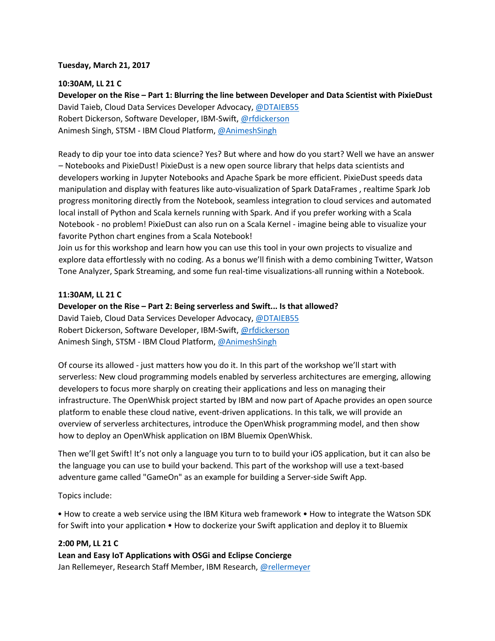### **Tuesday, March 21, 2017**

### **10:30AM, LL 21 C**

**Developer on the Rise – Part 1: Blurring the line between Developer and Data Scientist with PixieDust**  David Taieb, Cloud Data Services Developer Advocacy, [@DTAIEB55](https://twitter.com/DTAIEB55) Robert Dickerson, Software Developer, IBM-Swift[,](https://twitter.com/rfdickerson) [@rfdickerson](https://twitter.com/rfdickerson) Animesh Singh, STSM - IBM Cloud Platform, [@AnimeshSingh](https://twitter.com/AnimeshSingh)

Ready to dip your toe into data science? Yes? But where and how do you start? Well we have an answer – Notebooks and PixieDust! PixieDust is a new open source library that helps data scientists and developers working in Jupyter Notebooks and Apache Spark be more efficient. PixieDust speeds data manipulation and display with features like auto-visualization of Spark DataFrames , realtime Spark Job progress monitoring directly from the Notebook, seamless integration to cloud services and automated local install of Python and Scala kernels running with Spark. And if you prefer working with a Scala Notebook - no problem! PixieDust can also run on a Scala Kernel - imagine being able to visualize your favorite Python chart engines from a Scala Notebook!

Join us for this workshop and learn how you can use this tool in your own projects to visualize and explore data effortlessly with no coding. As a bonus we'll finish with a demo combining Twitter, Watson Tone Analyzer, Spark Streaming, and some fun real-time visualizations-all running within a Notebook.

### **11:30AM, LL 21 C**

# **Developer on the Rise – Part 2: Being serverless and Swift... Is that allowed?**

David Taieb, Cloud Data Services Developer Advocacy, [@DTAIEB55](https://twitter.com/DTAIEB55) Robert Dickerson, Software Developer, IBM-Swift[,](https://twitter.com/rfdickerson) [@rfdickerson](https://twitter.com/rfdickerson) Animesh Singh, STSM - IBM Cloud Platform, [@AnimeshSingh](https://twitter.com/AnimeshSingh)

Of course its allowed - just matters how you do it. In this part of the workshop we'll start with serverless: New cloud programming models enabled by serverless architectures are emerging, allowing developers to focus more sharply on creating their applications and less on managing their infrastructure. The OpenWhisk project started by IBM and now part of Apache provides an open source platform to enable these cloud native, event-driven applications. In this talk, we will provide an overview of serverless architectures, introduce the OpenWhisk programming model, and then show how to deploy an OpenWhisk application on IBM Bluemix OpenWhisk.

Then we'll get Swift! It's not only a language you turn to to build your iOS application, but it can also be the language you can use to build your backend. This part of the workshop will use a text-based adventure game called "GameOn" as an example for building a Server-side Swift App.

Topics include:

• How to create a web service using the IBM Kitura web framework • How to integrate the Watson SDK for Swift into your application • How to dockerize your Swift application and deploy it to Bluemix

#### **2:00 PM, LL 21 C**

**Lean and Easy IoT Applications with OSGi and Eclipse Concierge** Jan Rellemeyer[,](https://twitter.com/rellermeyer) Research Staff Member, IBM Research, [@rellermeyer](https://twitter.com/rellermeyer)